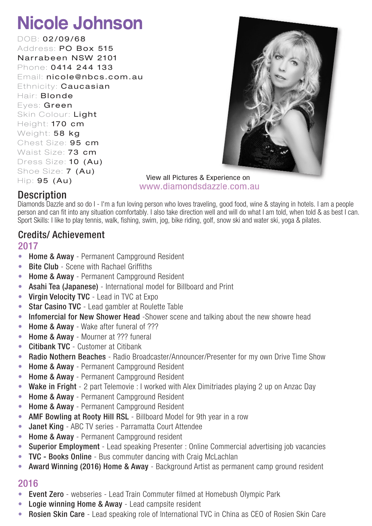DOB: 02/09/68 Address: PO Box 515 Narrabeen NSW 2101 Phone: 0414 244 133 Email: nicole@nbcs.com.au Ethnicity: **Caucasian** Hair: **Blonde** Eves: Green Skin Colour: Light Height: 170 cm Weight: 58 kg Chest Size: 95 cm Waist Size: 73 cm Dress Size: 10 (Au) Shoe Size: 7 (Au)  $Hip: 95 (Au)$ 



View all Pictures & Experience on www.diamondsdazzle.com.au

### **Description**

Diamonds Dazzle and so do I - I'm a fun loving person who loves traveling, good food, wine & staying in hotels. I am a people person and can fit into any situation comfortably. I also take direction well and will do what I am told, when told & as best I can. Sport Skills: I like to play tennis, walk, fishing, swim, jog, bike riding, golf, snow ski and water ski, yoga & pilates.

### Credits/ Achievement

### 2017

- Home & Away Permanent Campground Resident
- Bite Club Scene with Rachael Griffiths
- Home & Away Permanent Campground Resident
- Asahi Tea (Japanese) International model for Billboard and Print
- Virgin Velocity TVC Lead in TVC at Expo
- Star Casino TVC Lead gambler at Roulette Table
- Infomercial for New Shower Head -Shower scene and talking about the new showre head
- Home & Away Wake after funeral of ???
- Home & Away Mourner at ??? funeral
- Citibank TVC Customer at Citibank
- Radio Nothern Beaches Radio Broadcaster/Announcer/Presenter for my own Drive Time Show
- Home & Away Permanent Campground Resident
- Home & Away Permanent Campground Resident
- Wake in Fright 2 part Telemovie : I worked with Alex Dimitriades playing 2 up on Anzac Day
- Home & Away Permanent Campground Resident
- Home & Away Permanent Campground Resident
- AMF Bowling at Rooty Hill RSL Billboard Model for 9th year in a row
- Janet King ABC TV series Parramatta Court Attendee
- Home & Away Permanent Campground resident
- Superior Employment Lead speaking Presenter : Online Commercial advertising job vacancies
- **TVC Books Online** Bus commuter dancing with Craig McLachlan
- Award Winning (2016) Home & Away Background Artist as permanent camp ground resident

- Event Zero webseries Lead Train Commuter filmed at Homebush Olympic Park
- Logie winning Home & Away Lead campsite resident
- **Rosien Skin Care** Lead speaking role of International TVC in China as CEO of Rosien Skin Care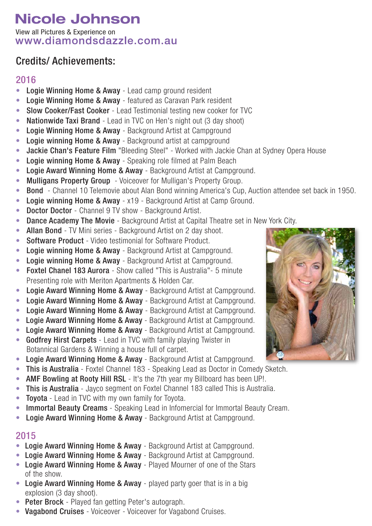View all Pictures & Experience on<br>WWW.diamondsdazzle.com.au

## Credits/ Achievements:

### 2016

- Logie Winning Home & Away Lead camp ground resident
- Logie Winning Home & Away featured as Caravan Park resident
- Slow Cooker/Fast Cooker Lead Testimonial testing new cooker for TVC
- Nationwide Taxi Brand Lead in TVC on Hen's night out (3 day shoot)
- Logie Winning Home & Away Background Artist at Campground
- Logie winning Home & Away Background artist at campground
- Jackie Chan's Feature Film "Bleeding Steel" Worked with Jackie Chan at Sydney Opera House
- Logie winning Home & Away Speaking role filmed at Palm Beach
- Logie Award Winning Home & Away Background Artist at Campground.
- Mulligans Property Group Voiceover for Mulligan's Property Group.
- Bond Channel 10 Telemovie about Alan Bond winning America's Cup, Auction attendee set back in 1950.
- Logie winning Home & Away x19 Background Artist at Camp Ground.
- Doctor Doctor Channel 9 TV show Background Artist.
- Dance Academy The Movie Background Artist at Capital Theatre set in New York City.
- Allan Bond TV Mini series Background Artist on 2 day shoot.
- Software Product Video testimonial for Software Product.
- Logie winning Home & Away Background Artist at Campground.
- Logie winning Home & Away Background Artist at Campground.
- Foxtel Chanel 183 Aurora Show called "This is Australia" 5 minute Presenting role with Meriton Apartments & Holden Car.
- Logie Award Winning Home & Away Background Artist at Campground.
- Logie Award Winning Home & Away Background Artist at Campground.
- Logie Award Winning Home & Away Background Artist at Campground.
- Logie Award Winning Home & Away Background Artist at Campground.
- Logie Award Winning Home & Away Background Artist at Campground.
- Godfrey Hirst Carpets Lead in TVC with family playing Twister in Botannical Gardens & Winning a house full of carpet.
- Logie Award Winning Home & Away Background Artist at Campground.
- This is Australia Foxtel Channel 183 Speaking Lead as Doctor in Comedy Sketch.
- AMF Bowling at Rooty Hill RSL It's the 7th year my Billboard has been UP!.
- This is Australia Jayco segment on Foxtel Channel 183 called This is Australia.
- Toyota Lead in TVC with my own family for Toyota.
- Immortal Beauty Creams Speaking Lead in Infomercial for Immortal Beauty Cream.
- Logie Award Winning Home & Away Background Artist at Campground.

- Logie Award Winning Home & Away Background Artist at Campground.
- Logie Award Winning Home & Away Background Artist at Campground.
- Logie Award Winning Home & Away Played Mourner of one of the Stars of the show.
- Logie Award Winning Home & Away played party goer that is in a big explosion (3 day shoot).
- Peter Brock Played fan getting Peter's autograph.
- Vagabond Cruises Voiceover Voiceover for Vagabond Cruises.

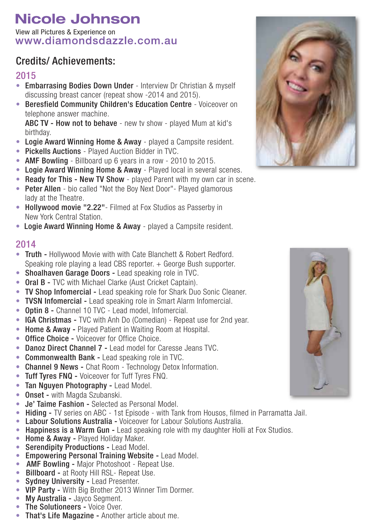View all Pictures & Experience on<br>WWW.diamondsdazzle.com.au

### Credits/ Achievements:

#### 2015

- Embarrasing Bodies Down Under Interview Dr Christian & myself discussing breast cancer (repeat show -2014 and 2015).
- Beresfield Community Children's Education Centre Voiceover on telephone answer machine.

ABC TV - How not to behave - new ty show - played Mum at kid's birthday.

- Logie Award Winning Home & Away played a Campsite resident.
- Pickells Auctions Played Auction Bidder in TVC.
- AMF Bowling Billboard up 6 years in a row 2010 to 2015.
- Logie Award Winning Home & Away Played local in several scenes.
- Ready for This New TV Show played Parent with my own car in scene.
- Peter Allen bio called "Not the Boy Next Door" Played glamorous lady at the Theatre.
- Hollywood movie "2.22" Filmed at Fox Studios as Passerby in New York Central Station.
- Logie Award Winning Home & Away played a Campsite resident.

- Truth Hollywood Movie with with Cate Blanchett & Robert Redford. Speaking role playing a lead CBS reporter. + George Bush supporter.
- Shoalhaven Garage Doors Lead speaking role in TVC.
- Oral **B** TVC with Michael Clarke (Aust Cricket Captain).
- TV Shop Infomercial Lead speaking role for Shark Duo Sonic Cleaner.
- TVSN Infomercial Lead speaking role in Smart Alarm Infomercial.
- Optin 8 Channel 10 TVC Lead model, Infomercial.
- IGA Christmas TVC with Anh Do (Comedian) Repeat use for 2nd year.
- Home & Away Played Patient in Waiting Room at Hospital.
- Office Choice Voiceover for Office Choice.
- Danoz Direct Channel 7 Lead model for Caresse Jeans TVC.
- Commonwealth Bank Lead speaking role in TVC.
- Channel 9 News Chat Room Technology Detox Information.
- Tuff Tyres FNQ Voiceover for Tuff Tyres FNQ.
- Tan Nguyen Photography Lead Model.
- Onset with Magda Szubanski.
- Je' Taime Fashion Selected as Personal Model.
- Hiding TV series on ABC 1st Episode with Tank from Housos, filmed in Parramatta Jail.
- Labour Solutions Australia Voiceover for Labour Solutions Australia.
- Happiness is a Warm Gun Lead speaking role with my daughter Holli at Fox Studios.
- Home & Away Played Holiday Maker.
- Serendipity Productions Lead Model.
- Empowering Personal Training Website Lead Model.
- **AMF Bowling Major Photoshoot Repeat Use.**
- Billboard at Rooty Hill RSL- Repeat Use.
- Sydney University Lead Presenter.
- VIP Party With Big Brother 2013 Winner Tim Dormer.
- My Australia Jayco Segment.
- The Solutioneers Voice Over.
- That's Life Magazine Another article about me.



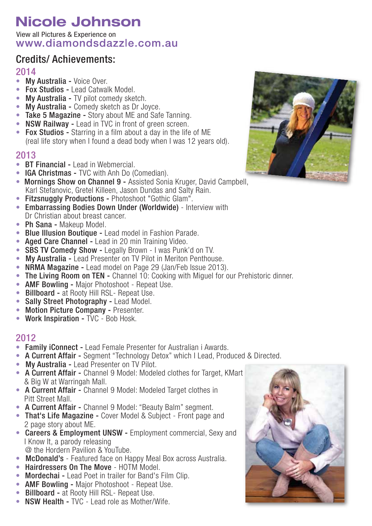View all Pictures & Experience onwww.diamondsdazzle.com.au

### Credits/ Achievements:

#### 2014

- My Australia Voice Over.
- Fox Studios Lead Catwalk Model.
- My Australia TV pilot comedy sketch.
- My Australia Comedy sketch as Dr Joyce.
- Take 5 Magazine Story about ME and Safe Tanning.
- NSW Railway Lead in TVC in front of green screen.
- Fox Studios Starring in a film about a day in the life of ME (real life story when I found a dead body when I was 12 years old).

#### 2013

- BT Financial Lead in Webmercial.
- IGA Christmas TVC with Anh Do (Comedian).
- Mornings Show on Channel 9 Assisted Sonia Kruger, David Campbell, Karl Stefanovic, Gretel Killeen, Jason Dundas and Salty Rain.
- Fitzsnuggly Productions Photoshoot "Gothic Glam".
- Embarrassing Bodies Down Under (Worldwide) Interview with Dr Christian about breast cancer.
- Ph Sana Makeup Model.
- Blue Illusion Boutique Lead model in Fashion Parade.
- Aged Care Channel Lead in 20 min Training Video.
- SBS TV Comedy Show Legally Brown I was Punk'd on TV.
- My Australia Lead Presenter on TV Pilot in Meriton Penthouse.
- NRMA Magazine Lead model on Page 29 (Jan/Feb Issue 2013).
- The Living Room on TEN Channel 10: Cooking with Miguel for our Prehistoric dinner.
- **AMF Bowling Major Photoshoot Repeat Use.**
- Billboard at Rooty Hill RSL- Repeat Use.
- Sally Street Photography Lead Model.
- Motion Picture Company Presenter.
- Work Inspiration TVC Bob Hosk.

- Family iConnect Lead Female Presenter for Australian i Awards.
- A Current Affair Segment "Technology Detox" which I Lead, Produced & Directed.
- My Australia Lead Presenter on TV Pilot.
- A Current Affair Channel 9 Model: Modeled clothes for Target, KMart & Big W at Warringah Mall.
- A Current Affair Channel 9 Model: Modeled Target clothes in Pitt Street Mall.
- A Current Affair Channel 9 Model: "Beauty Balm" segment.
- That's Life Magazine Cover Model & Subject Front page and 2 page story about ME.
- Careers & Employment UNSW Employment commercial, Sexy and I Know It, a parody releasing @ the Hordern Pavilion & YouTube.
- McDonald's Featured face on Happy Meal Box across Australia.
- Hairdressers On The Move HOTM Model.
- Mordechai Lead Poet in trailer for Band's Film Clip.
- **AMF Bowling Major Photoshoot Repeat Use.**
- Billboard at Rooty Hill RSL- Repeat Use.
- NSW Health TVC Lead role as Mother/Wife.



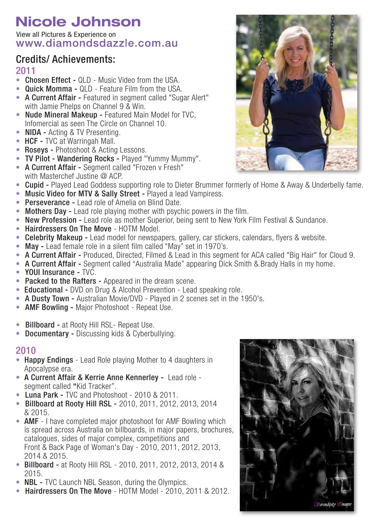View all Pictures & Experience onwww.diamondsdazzle.com.au

### Credits/ Achievements:

### 2011

- Chosen Effect QLD Music Video from the USA.
- Quick Momma QLD Feature Film from the USA.
- A Current Affair Featured in segment called "Sugar Alert" with Jamie Phelps on Channel 9 & Win.
- Nude Mineral Makeup Featured Main Model for TVC, Infomercial as seen The Circle on Channel 10.
- **NIDA** Acting & TV Presenting.
- HCF TVC at Warringah Mall.
- Roseys Photoshoot & Acting Lessons.
- TV Pilot Wandering Rocks Played "Yummy Mummy".
- A Current Affair Seament called "Frozen v Fresh" with Masterchef Justine @ ACP.
- Cupid Played Lead Goddess supporting role to Dieter Brummer formerly of Home & Away & Underbelly fame.
- Music Video for MTV & Sally Street Played a lead Vampiress.
- Perseverance Lead role of Amelia on Blind Date.
- Mothers Day Lead role playing mother with psychic powers in the film.
- New Profession Lead role as mother Superior, being sent to New York Film Festival & Sundance.
- Hairdressers On The Move HOTM Model.
- Celebrity Makeup Lead model for newspapers, gallery, car stickers, calendars, flyers & website.
- May Lead female role in a silent film called "May" set in 1970's.
- A Current Affair Produced, Directed, Filmed & Lead in this segment for ACA called "Big Hair" for Cloud 9.
- A Current Affair Segment called "Australia Made" appearing Dick Smith & Brady Halls in my home.
- YOUI Insurance TVC.
- Packed to the Rafters Appeared in the dream scene.
- **Educational -** DVD on Drug & Alcohol Prevention Lead speaking role.
- A Dusty Town Australian Movie/DVD Played in 2 scenes set in the 1950's.
- AMF Bowling Major Photoshoot Repeat Use.
- Billboard at Rooty Hill RSL- Repeat Use.
- Documentary Discussing kids & Cyberbullying.

- Happy Endings Lead Role playing Mother to 4 daughters in Apocalypse era.
- A Current Affair & Kerrie Anne Kennerley Lead role segment called "Kid Tracker".
- Luna Park TVC and Photoshoot 2010 & 2011.
- Billboard at Rooty Hill RSL 2010, 2011, 2012, 2013, 2014 & 2015.
- AMF I have completed major photoshoot for AMF Bowling which is spread across Australia on billboards, in major papers, brochures, catalogues, sides of major complex, competitions and Front & Back Page of Woman's Day - 2010, 2011, 2012, 2013, 2014 & 2015.
- Billboard at Rooty Hill RSL 2010, 2011, 2012, 2013, 2014 & 2015.
- **NBL** TVC Launch NBL Season, during the Olympics.
- Hairdressers On The Move HOTM Model 2010, 2011 & 2012.



![](_page_4_Picture_40.jpeg)